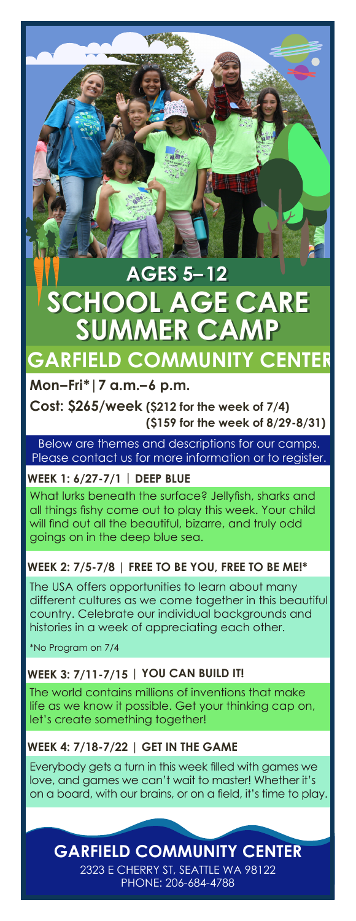# **SUMMER CA AGES 5–12 AGES 5–12 SCHOOL AGE CARE SCHOOL AGE CARE GARFIELD COMMUNITY CENTER**

# **Mon–Fri\*|7 a.m.–6 p.m.**

**Cost: \$265/week (\$212 for the week of 7/4) (\$159 for the week of 8/29-8/31)**

Below are themes and descriptions for our camps. Please contact us for more information or to register.

# **WEEK 1: 6/27-7/1 | DEEP BLUE**

What lurks beneath the surface? Jellyfish, sharks and all things fishy come out to play this week. Your child will find out all the beautiful, bizarre, and truly odd goings on in the deep blue sea.

# **WEEK 2: 7/5-7/8 | FREE TO BE YOU, FREE TO BE ME!\***

The USA offers opportunities to learn about many different cultures as we come together in this beautiful country. Celebrate our individual backgrounds and histories in a week of appreciating each other.

\*No Program on 7/4

# **WEEK 3: 7/11-7/15 | YOU CAN BUILD IT!**

The world contains millions of inventions that make life as we know it possible. Get your thinking cap on, let's create something together!

# **WEEK 4: 7/18-7/22 | GET IN THE GAME**

Everybody gets a turn in this week filled with games we love, and games we can't wait to master! Whether it's on a board, with our brains, or on a field, it's time to play.

**GARFIELD COMMUNITY CENTER**

2323 E CHERRY ST, SEATTLE WA 98122 PHONE: 206-684-4788